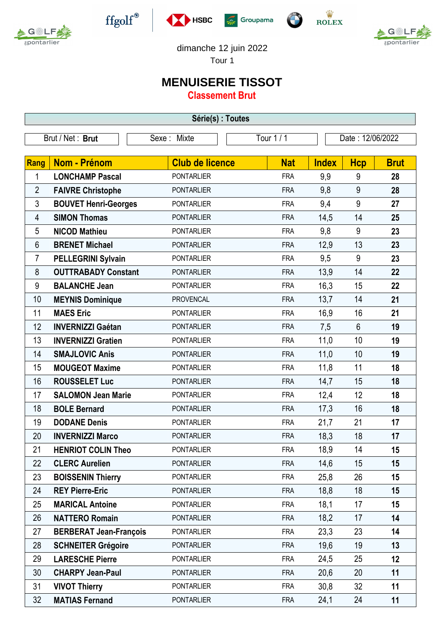



 $\operatorname{ffgolf}^{\circledast}$ 







dimanche 12 juin 2022

Tour 1

## **MENUISERIE TISSOT**

**Classement Brut**

| Série(s) : Toutes |                               |                        |            |              |                  |             |  |  |  |  |
|-------------------|-------------------------------|------------------------|------------|--------------|------------------|-------------|--|--|--|--|
| Brut / Net: Brut  |                               | Sexe: Mixte            | Tour 1/1   |              | Date: 12/06/2022 |             |  |  |  |  |
|                   |                               |                        |            |              |                  |             |  |  |  |  |
| Rang              | Nom - Prénom                  | <b>Club de licence</b> | <b>Nat</b> | <b>Index</b> | <b>Hcp</b>       | <b>Brut</b> |  |  |  |  |
| 1                 | <b>LONCHAMP Pascal</b>        | <b>PONTARLIER</b>      | <b>FRA</b> | 9,9          | 9                | 28          |  |  |  |  |
| $\overline{2}$    | <b>FAIVRE Christophe</b>      | <b>PONTARLIER</b>      | <b>FRA</b> | 9,8          | 9                | 28          |  |  |  |  |
| 3                 | <b>BOUVET Henri-Georges</b>   | <b>PONTARLIER</b>      | <b>FRA</b> | 9,4          | 9                | 27          |  |  |  |  |
| 4                 | <b>SIMON Thomas</b>           | <b>PONTARLIER</b>      | <b>FRA</b> | 14,5         | 14               | 25          |  |  |  |  |
| 5                 | <b>NICOD Mathieu</b>          | <b>PONTARLIER</b>      | <b>FRA</b> | 9,8          | 9                | 23          |  |  |  |  |
| 6                 | <b>BRENET Michael</b>         | <b>PONTARLIER</b>      | <b>FRA</b> | 12,9         | 13               | 23          |  |  |  |  |
| 7                 | <b>PELLEGRINI Sylvain</b>     | <b>PONTARLIER</b>      | <b>FRA</b> | 9,5          | 9                | 23          |  |  |  |  |
| 8                 | <b>OUTTRABADY Constant</b>    | <b>PONTARLIER</b>      | <b>FRA</b> | 13,9         | 14               | 22          |  |  |  |  |
| 9                 | <b>BALANCHE Jean</b>          | <b>PONTARLIER</b>      | <b>FRA</b> | 16,3         | 15               | 22          |  |  |  |  |
| 10                | <b>MEYNIS Dominique</b>       | <b>PROVENCAL</b>       | <b>FRA</b> | 13,7         | 14               | 21          |  |  |  |  |
| 11                | <b>MAES Eric</b>              | <b>PONTARLIER</b>      | <b>FRA</b> | 16,9         | 16               | 21          |  |  |  |  |
| 12                | <b>INVERNIZZI Gaétan</b>      | <b>PONTARLIER</b>      | <b>FRA</b> | 7,5          | $6\phantom{1}$   | 19          |  |  |  |  |
| 13                | <b>INVERNIZZI Gratien</b>     | <b>PONTARLIER</b>      | <b>FRA</b> | 11,0         | 10               | 19          |  |  |  |  |
| 14                | <b>SMAJLOVIC Anis</b>         | <b>PONTARLIER</b>      | <b>FRA</b> | 11,0         | 10               | 19          |  |  |  |  |
| 15                | <b>MOUGEOT Maxime</b>         | <b>PONTARLIER</b>      | <b>FRA</b> | 11,8         | 11               | 18          |  |  |  |  |
| 16                | <b>ROUSSELET Luc</b>          | <b>PONTARLIER</b>      | <b>FRA</b> | 14,7         | 15               | 18          |  |  |  |  |
| 17                | <b>SALOMON Jean Marie</b>     | <b>PONTARLIER</b>      | <b>FRA</b> | 12,4         | 12               | 18          |  |  |  |  |
| 18                | <b>BOLE Bernard</b>           | <b>PONTARLIER</b>      | <b>FRA</b> | 17,3         | 16               | 18          |  |  |  |  |
| 19                | <b>DODANE Denis</b>           | <b>PONTARLIER</b>      | <b>FRA</b> | 21,7         | 21               | 17          |  |  |  |  |
| 20                | <b>INVERNIZZI Marco</b>       | <b>PONTARLIER</b>      | <b>FRA</b> | 18,3         | 18               | 17          |  |  |  |  |
| 21                | <b>HENRIOT COLIN Theo</b>     | <b>PONTARLIER</b>      | <b>FRA</b> | 18,9         | 14               | 15          |  |  |  |  |
| 22                | <b>CLERC Aurelien</b>         | <b>PONTARLIER</b>      | <b>FRA</b> | 14,6         | 15               | 15          |  |  |  |  |
| 23                | <b>BOISSENIN Thierry</b>      | <b>PONTARLIER</b>      | <b>FRA</b> | 25,8         | 26               | 15          |  |  |  |  |
| 24                | <b>REY Pierre-Eric</b>        | <b>PONTARLIER</b>      | <b>FRA</b> | 18,8         | 18               | 15          |  |  |  |  |
| 25                | <b>MARICAL Antoine</b>        | <b>PONTARLIER</b>      | <b>FRA</b> | 18,1         | 17               | 15          |  |  |  |  |
| 26                | <b>NATTERO Romain</b>         | <b>PONTARLIER</b>      | <b>FRA</b> | 18,2         | 17               | 14          |  |  |  |  |
| 27                | <b>BERBERAT Jean-François</b> | <b>PONTARLIER</b>      | <b>FRA</b> | 23,3         | 23               | 14          |  |  |  |  |
| 28                | <b>SCHNEITER Grégoire</b>     | <b>PONTARLIER</b>      | <b>FRA</b> | 19,6         | 19               | 13          |  |  |  |  |
| 29                | <b>LARESCHE Pierre</b>        | <b>PONTARLIER</b>      | <b>FRA</b> | 24,5         | 25               | 12          |  |  |  |  |
| 30                | <b>CHARPY Jean-Paul</b>       | <b>PONTARLIER</b>      | <b>FRA</b> | 20,6         | 20               | 11          |  |  |  |  |
| 31                | <b>VIVOT Thierry</b>          | <b>PONTARLIER</b>      | <b>FRA</b> | 30,8         | 32               | 11          |  |  |  |  |
| 32                | <b>MATIAS Fernand</b>         | <b>PONTARLIER</b>      | <b>FRA</b> | 24,1         | 24               | 11          |  |  |  |  |